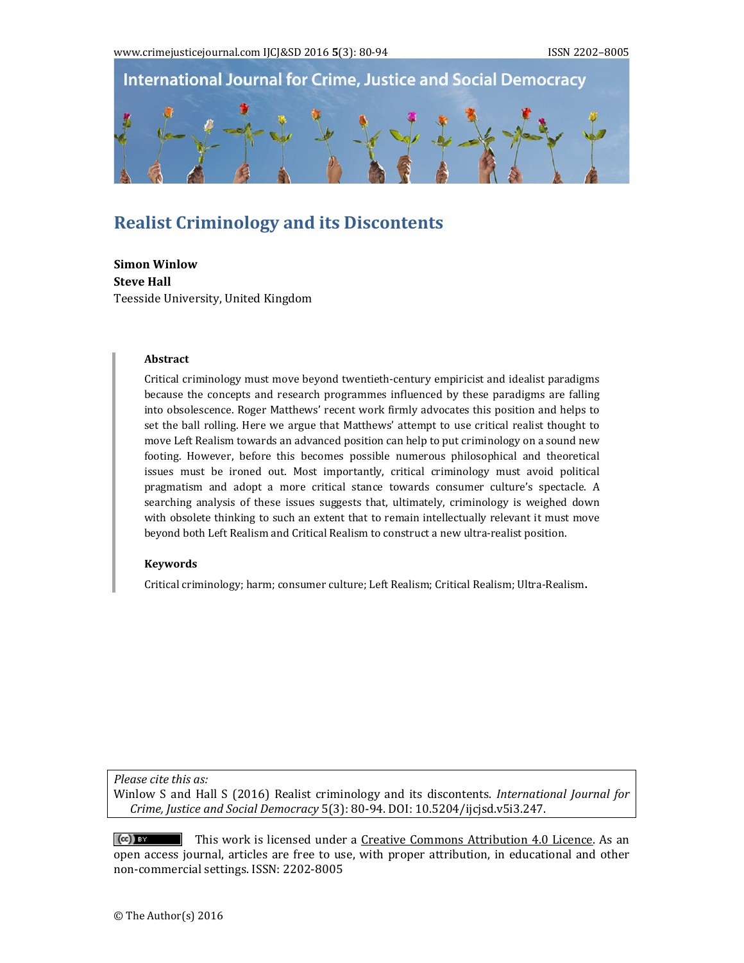

# **Realist Criminology and its Discontents**

**Simon Winlow Steve Hall** Teesside University, United Kingdom

#### **Abstract**

Critical criminology must move beyond twentieth-century empiricist and idealist paradigms because the concepts and research programmes influenced by these paradigms are falling into obsolescence. Roger Matthews' recent work firmly advocates this position and helps to set the ball rolling. Here we argue that Matthews' attempt to use critical realist thought to move Left Realism towards an advanced position can help to put criminology on a sound new footing. However, before this becomes possible numerous philosophical and theoretical issues must be ironed out. Most importantly, critical criminology must avoid political pragmatism and adopt a more critical stance towards consumer culture's spectacle. A searching analysis of these issues suggests that, ultimately, criminology is weighed down with obsolete thinking to such an extent that to remain intellectually relevant it must move beyond both Left Realism and Critical Realism to construct a new ultra-realist position.

#### **Keywords**

Critical criminology; harm; consumer culture; Left Realism; Critical Realism; Ultra-Realism.

*Please cite this as:*

Winlow S and Hall S (2016) Realist criminology and its discontents. *International Journal for Crime, Justice and Social Democracy* 5(3): 80‐94. DOI: 10.5204/ijcjsd.v5i3.247. 

 $(cc)$  BY  $\blacksquare$  This work is licensed under a Creative Commons Attribution 4.0 Licence. As an open access journal, articles are free to use, with proper attribution, in educational and other non-commercial settings. ISSN: 2202-8005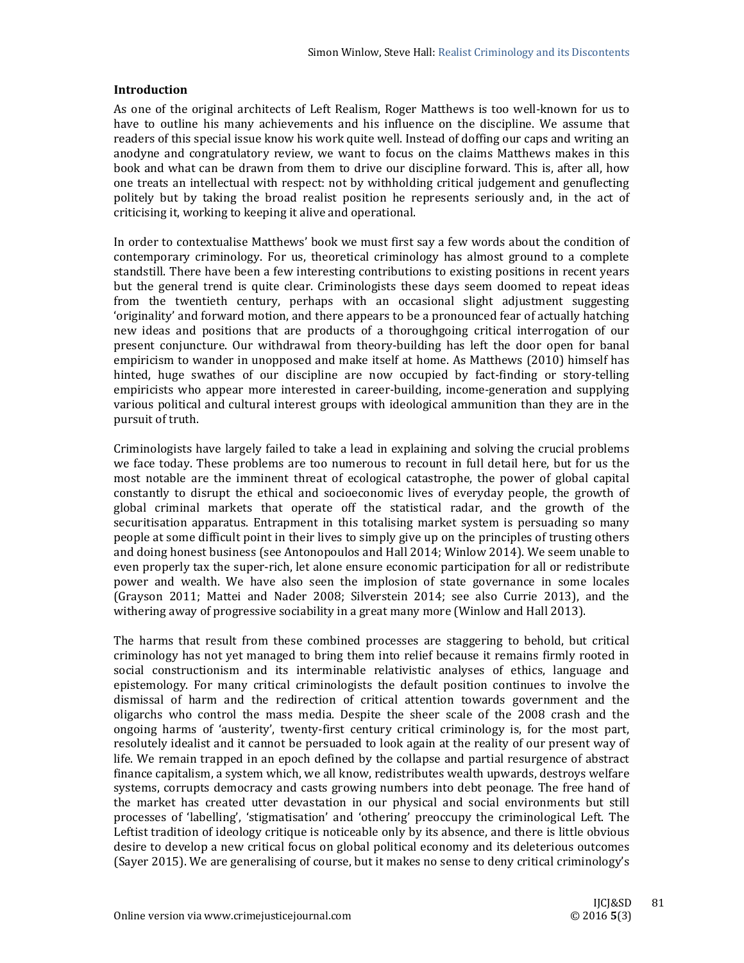## **Introduction**

As one of the original architects of Left Realism, Roger Matthews is too well-known for us to have to outline his many achievements and his influence on the discipline. We assume that readers of this special issue know his work quite well. Instead of doffing our caps and writing an anodyne and congratulatory review, we want to focus on the claims Matthews makes in this book and what can be drawn from them to drive our discipline forward. This is, after all, how one treats an intellectual with respect: not by withholding critical judgement and genuflecting politely but by taking the broad realist position he represents seriously and, in the act of criticising it, working to keeping it alive and operational.

In order to contextualise Matthews' book we must first say a few words about the condition of contemporary criminology. For us, theoretical criminology has almost ground to a complete standstill. There have been a few interesting contributions to existing positions in recent years but the general trend is quite clear. Criminologists these days seem doomed to repeat ideas from the twentieth century, perhaps with an occasional slight adjustment suggesting 'originality' and forward motion, and there appears to be a pronounced fear of actually hatching new ideas and positions that are products of a thoroughgoing critical interrogation of our present conjuncture. Our withdrawal from theory-building has left the door open for banal empiricism to wander in unopposed and make itself at home. As Matthews (2010) himself has hinted, huge swathes of our discipline are now occupied by fact-finding or story-telling empiricists who appear more interested in career-building, income-generation and supplying various political and cultural interest groups with ideological ammunition than they are in the pursuit of truth.

Criminologists have largely failed to take a lead in explaining and solving the crucial problems we face today. These problems are too numerous to recount in full detail here, but for us the most notable are the imminent threat of ecological catastrophe, the power of global capital constantly to disrupt the ethical and socioeconomic lives of everyday people, the growth of global criminal markets that operate off the statistical radar, and the growth of the securitisation apparatus. Entrapment in this totalising market system is persuading so many people at some difficult point in their lives to simply give up on the principles of trusting others and doing honest business (see Antonopoulos and Hall 2014; Winlow 2014). We seem unable to even properly tax the super-rich, let alone ensure economic participation for all or redistribute power and wealth. We have also seen the implosion of state governance in some locales (Grayson 2011; Mattei and Nader 2008; Silverstein 2014; see also Currie 2013), and the withering away of progressive sociability in a great many more (Winlow and Hall 2013).

The harms that result from these combined processes are staggering to behold, but critical criminology has not yet managed to bring them into relief because it remains firmly rooted in social constructionism and its interminable relativistic analyses of ethics, language and epistemology. For many critical criminologists the default position continues to involve the dismissal of harm and the redirection of critical attention towards government and the oligarchs who control the mass media. Despite the sheer scale of the 2008 crash and the ongoing harms of 'austerity', twenty-first century critical criminology is, for the most part, resolutely idealist and it cannot be persuaded to look again at the reality of our present way of life. We remain trapped in an epoch defined by the collapse and partial resurgence of abstract finance capitalism, a system which, we all know, redistributes wealth upwards, destroys welfare systems, corrupts democracy and casts growing numbers into debt peonage. The free hand of the market has created utter devastation in our physical and social environments but still processes of 'labelling', 'stigmatisation' and 'othering' preoccupy the criminological Left. The Leftist tradition of ideology critique is noticeable only by its absence, and there is little obvious desire to develop a new critical focus on global political economy and its deleterious outcomes (Sayer 2015). We are generalising of course, but it makes no sense to deny critical criminology's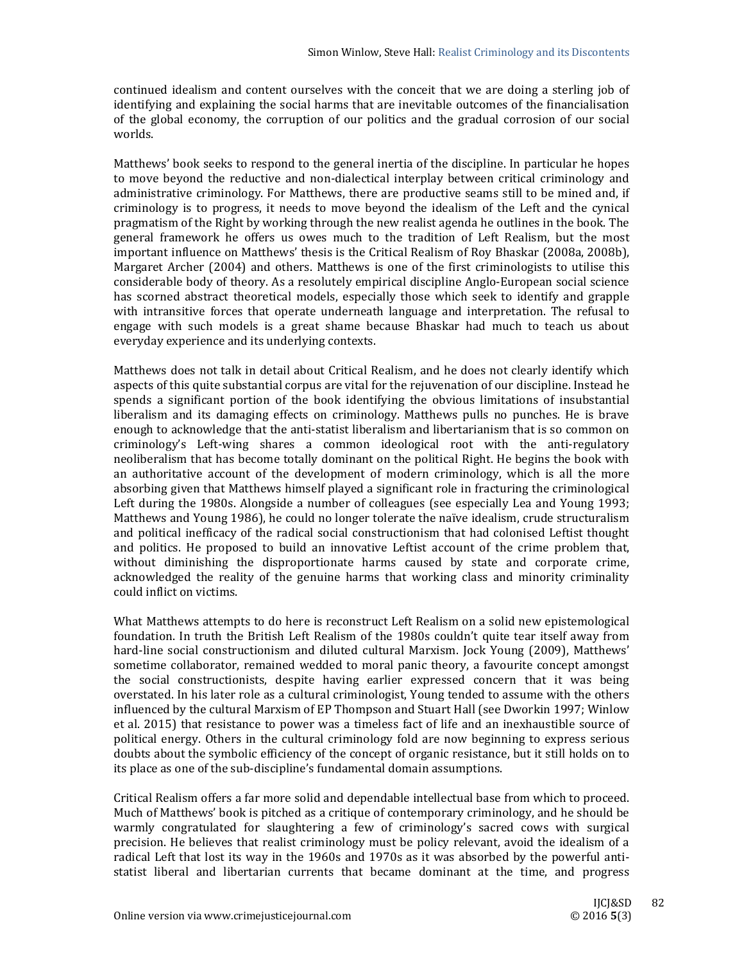continued idealism and content ourselves with the conceit that we are doing a sterling job of identifying and explaining the social harms that are inevitable outcomes of the financialisation of the global economy, the corruption of our politics and the gradual corrosion of our social worlds. 

Matthews' book seeks to respond to the general inertia of the discipline. In particular he hopes to move beyond the reductive and non-dialectical interplay between critical criminology and administrative criminology. For Matthews, there are productive seams still to be mined and, if criminology is to progress, it needs to move beyond the idealism of the Left and the cynical pragmatism of the Right by working through the new realist agenda he outlines in the book. The general framework he offers us owes much to the tradition of Left Realism, but the most important influence on Matthews' thesis is the Critical Realism of Roy Bhaskar (2008a, 2008b), Margaret Archer (2004) and others. Matthews is one of the first criminologists to utilise this considerable body of theory. As a resolutely empirical discipline Anglo-European social science has scorned abstract theoretical models, especially those which seek to identify and grapple with intransitive forces that operate underneath language and interpretation. The refusal to engage with such models is a great shame because Bhaskar had much to teach us about everyday experience and its underlying contexts.

Matthews does not talk in detail about Critical Realism, and he does not clearly identify which aspects of this quite substantial corpus are vital for the rejuvenation of our discipline. Instead he spends a significant portion of the book identifying the obvious limitations of insubstantial liberalism and its damaging effects on criminology. Matthews pulls no punches. He is brave enough to acknowledge that the anti-statist liberalism and libertarianism that is so common on criminology's Left-wing shares a common ideological root with the anti-regulatory neoliberalism that has become totally dominant on the political Right. He begins the book with an authoritative account of the development of modern criminology, which is all the more absorbing given that Matthews himself played a significant role in fracturing the criminological Left during the 1980s. Alongside a number of colleagues (see especially Lea and Young 1993; Matthews and Young 1986), he could no longer tolerate the naïve idealism, crude structuralism and political inefficacy of the radical social constructionism that had colonised Leftist thought and politics. He proposed to build an innovative Leftist account of the crime problem that, without diminishing the disproportionate harms caused by state and corporate crime, acknowledged the reality of the genuine harms that working class and minority criminality could inflict on victims. 

What Matthews attempts to do here is reconstruct Left Realism on a solid new epistemological foundation. In truth the British Left Realism of the 1980s couldn't quite tear itself away from hard-line social constructionism and diluted cultural Marxism. Jock Young (2009), Matthews' sometime collaborator, remained wedded to moral panic theory, a favourite concept amongst the social constructionists, despite having earlier expressed concern that it was being overstated. In his later role as a cultural criminologist, Young tended to assume with the others influenced by the cultural Marxism of EP Thompson and Stuart Hall (see Dworkin 1997; Winlow et al. 2015) that resistance to power was a timeless fact of life and an inexhaustible source of political energy. Others in the cultural criminology fold are now beginning to express serious doubts about the symbolic efficiency of the concept of organic resistance, but it still holds on to its place as one of the sub-discipline's fundamental domain assumptions.

Critical Realism offers a far more solid and dependable intellectual base from which to proceed. Much of Matthews' book is pitched as a critique of contemporary criminology, and he should be warmly congratulated for slaughtering a few of criminology's sacred cows with surgical precision. He believes that realist criminology must be policy relevant, avoid the idealism of a radical Left that lost its way in the 1960s and 1970s as it was absorbed by the powerful antistatist liberal and libertarian currents that became dominant at the time, and progress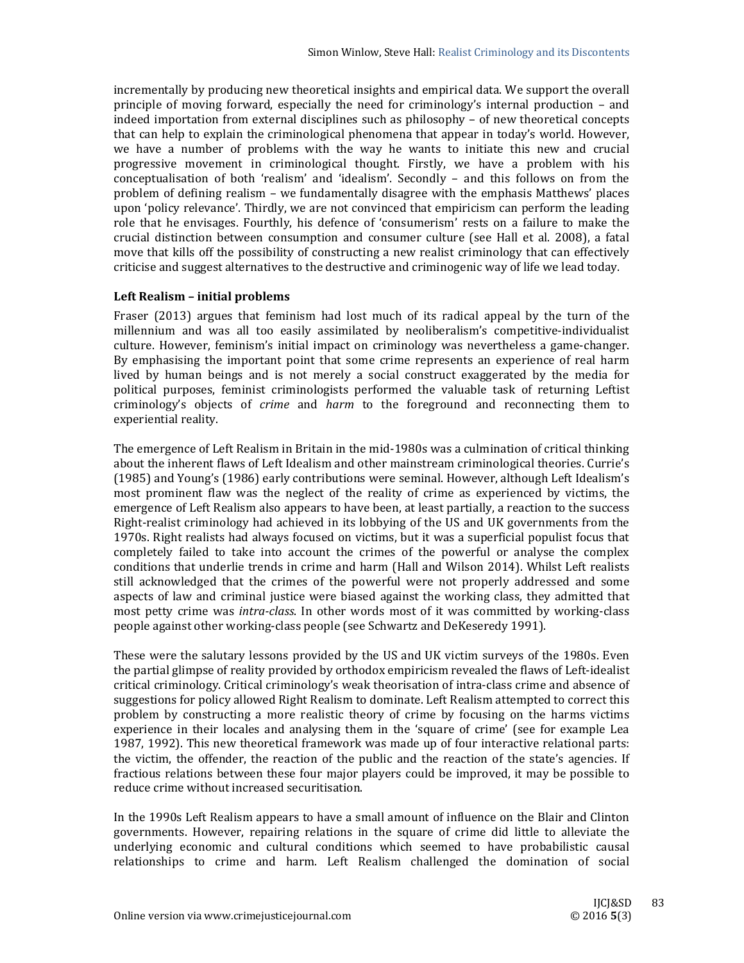incrementally by producing new theoretical insights and empirical data. We support the overall principle of moving forward, especially the need for criminology's internal production  $-$  and indeed importation from external disciplines such as philosophy - of new theoretical concepts that can help to explain the criminological phenomena that appear in today's world. However, we have a number of problems with the way he wants to initiate this new and crucial progressive movement in criminological thought. Firstly, we have a problem with his conceptualisation of both 'realism' and 'idealism'. Secondly - and this follows on from the problem of defining realism – we fundamentally disagree with the emphasis Matthews' places upon 'policy relevance'. Thirdly, we are not convinced that empiricism can perform the leading role that he envisages. Fourthly, his defence of 'consumerism' rests on a failure to make the crucial distinction between consumption and consumer culture (see Hall et al. 2008), a fatal move that kills off the possibility of constructing a new realist criminology that can effectively criticise and suggest alternatives to the destructive and criminogenic way of life we lead today.

# **Left Realism – initial problems**

Fraser  $(2013)$  argues that feminism had lost much of its radical appeal by the turn of the millennium and was all too easily assimilated by neoliberalism's competitive-individualist culture. However, feminism's initial impact on criminology was nevertheless a game-changer. By emphasising the important point that some crime represents an experience of real harm lived by human beings and is not merely a social construct exaggerated by the media for political purposes, feminist criminologists performed the valuable task of returning Leftist criminology's objects of *crime* and *harm* to the foreground and reconnecting them to experiential reality.

The emergence of Left Realism in Britain in the mid-1980s was a culmination of critical thinking about the inherent flaws of Left Idealism and other mainstream criminological theories. Currie's (1985) and Young's (1986) early contributions were seminal. However, although Left Idealism's most prominent flaw was the neglect of the reality of crime as experienced by victims, the emergence of Left Realism also appears to have been, at least partially, a reaction to the success Right-realist criminology had achieved in its lobbying of the US and UK governments from the 1970s. Right realists had always focused on victims, but it was a superficial populist focus that completely failed to take into account the crimes of the powerful or analyse the complex conditions that underlie trends in crime and harm (Hall and Wilson 2014). Whilst Left realists still acknowledged that the crimes of the powerful were not properly addressed and some aspects of law and criminal justice were biased against the working class, they admitted that most petty crime was *intra-class*. In other words most of it was committed by working-class people against other working-class people (see Schwartz and DeKeseredy 1991).

These were the salutary lessons provided by the US and UK victim surveys of the 1980s. Even the partial glimpse of reality provided by orthodox empiricism revealed the flaws of Left-idealist critical criminology. Critical criminology's weak theorisation of intra-class crime and absence of suggestions for policy allowed Right Realism to dominate. Left Realism attempted to correct this problem by constructing a more realistic theory of crime by focusing on the harms victims experience in their locales and analysing them in the 'square of crime' (see for example Lea 1987, 1992). This new theoretical framework was made up of four interactive relational parts: the victim, the offender, the reaction of the public and the reaction of the state's agencies. If fractious relations between these four major players could be improved, it may be possible to reduce crime without increased securitisation.

In the 1990s Left Realism appears to have a small amount of influence on the Blair and Clinton governments. However, repairing relations in the square of crime did little to alleviate the underlying economic and cultural conditions which seemed to have probabilistic causal relationships to crime and harm. Left Realism challenged the domination of social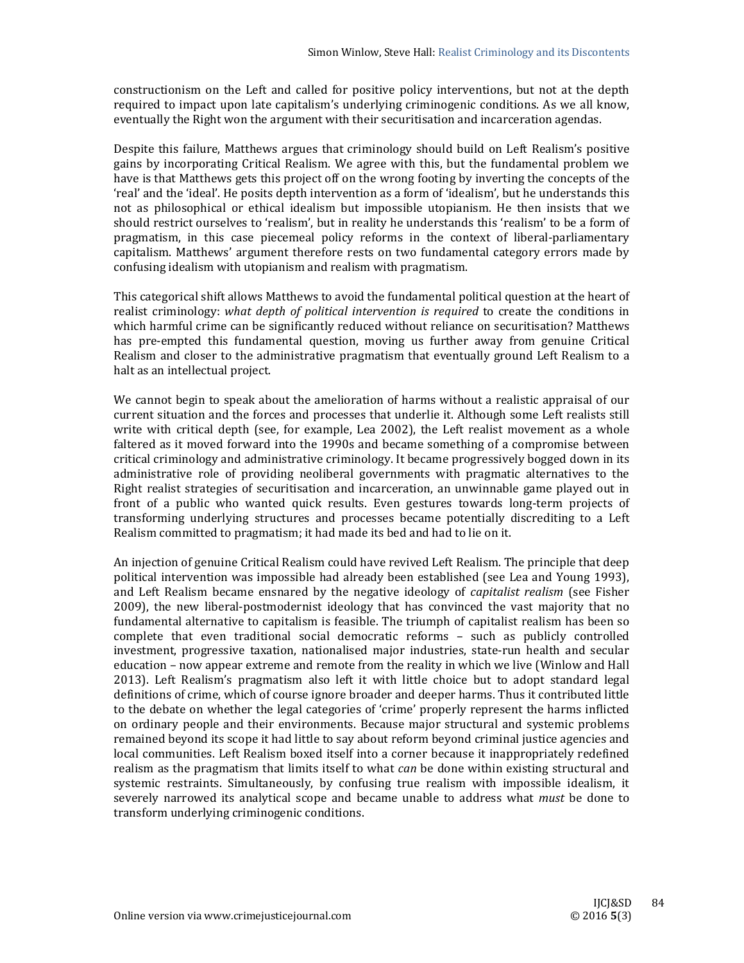constructionism on the Left and called for positive policy interventions, but not at the depth required to impact upon late capitalism's underlying criminogenic conditions. As we all know, eventually the Right won the argument with their securitisation and incarceration agendas.

Despite this failure, Matthews argues that criminology should build on Left Realism's positive gains by incorporating Critical Realism. We agree with this, but the fundamental problem we have is that Matthews gets this project off on the wrong footing by inverting the concepts of the 'real' and the 'ideal'. He posits depth intervention as a form of 'idealism', but he understands this not as philosophical or ethical idealism but impossible utopianism. He then insists that we should restrict ourselves to 'realism', but in reality he understands this 'realism' to be a form of pragmatism, in this case piecemeal policy reforms in the context of liberal-parliamentary capitalism. Matthews' argument therefore rests on two fundamental category errors made by confusing idealism with utopianism and realism with pragmatism.

This categorical shift allows Matthews to avoid the fundamental political question at the heart of realist criminology: what *depth* of *political intervention* is *required* to create the conditions in which harmful crime can be significantly reduced without reliance on securitisation? Matthews has pre-empted this fundamental question, moving us further away from genuine Critical Realism and closer to the administrative pragmatism that eventually ground Left Realism to a halt as an intellectual project.

We cannot begin to speak about the amelioration of harms without a realistic appraisal of our current situation and the forces and processes that underlie it. Although some Left realists still write with critical depth (see, for example, Lea 2002), the Left realist movement as a whole faltered as it moved forward into the 1990s and became something of a compromise between critical criminology and administrative criminology. It became progressively bogged down in its administrative role of providing neoliberal governments with pragmatic alternatives to the Right realist strategies of securitisation and incarceration, an unwinnable game played out in front of a public who wanted quick results. Even gestures towards long-term projects of transforming underlying structures and processes became potentially discrediting to a Left Realism committed to pragmatism; it had made its bed and had to lie on it.

An injection of genuine Critical Realism could have revived Left Realism. The principle that deep political intervention was impossible had already been established (see Lea and Young 1993), and Left Realism became ensnared by the negative ideology of *capitalist realism* (see Fisher 2009), the new liberal-postmodernist ideology that has convinced the vast majority that no fundamental alternative to capitalism is feasible. The triumph of capitalist realism has been so complete that even traditional social democratic reforms - such as publicly controlled investment, progressive taxation, nationalised major industries, state-run health and secular education – now appear extreme and remote from the reality in which we live (Winlow and Hall 2013). Left Realism's pragmatism also left it with little choice but to adopt standard legal definitions of crime, which of course ignore broader and deeper harms. Thus it contributed little to the debate on whether the legal categories of 'crime' properly represent the harms inflicted on ordinary people and their environments. Because major structural and systemic problems remained beyond its scope it had little to say about reform beyond criminal justice agencies and local communities. Left Realism boxed itself into a corner because it inappropriately redefined realism as the pragmatism that limits itself to what *can* be done within existing structural and systemic restraints. Simultaneously, by confusing true realism with impossible idealism, it severely narrowed its analytical scope and became unable to address what *must* be done to transform underlying criminogenic conditions.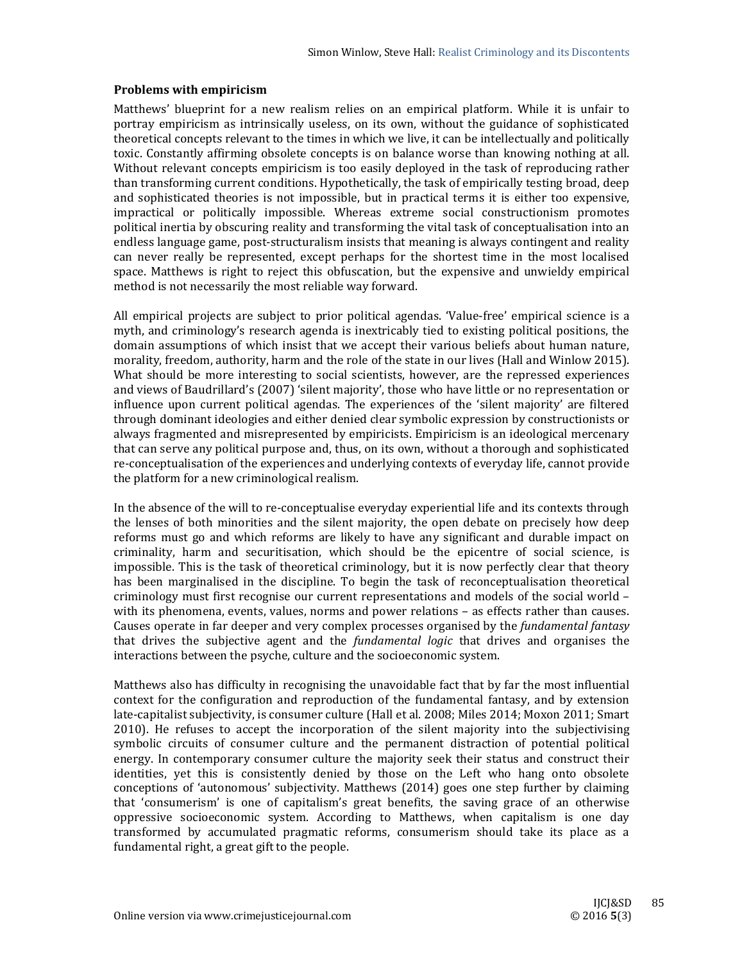## **Problems with empiricism**

Matthews' blueprint for a new realism relies on an empirical platform. While it is unfair to portray empiricism as intrinsically useless, on its own, without the guidance of sophisticated theoretical concepts relevant to the times in which we live, it can be intellectually and politically toxic. Constantly affirming obsolete concepts is on balance worse than knowing nothing at all. Without relevant concepts empiricism is too easily deployed in the task of reproducing rather than transforming current conditions. Hypothetically, the task of empirically testing broad, deep and sophisticated theories is not impossible, but in practical terms it is either too expensive, impractical or politically impossible. Whereas extreme social constructionism promotes political inertia by obscuring reality and transforming the vital task of conceptualisation into an endless language game, post-structuralism insists that meaning is always contingent and reality can never really be represented, except perhaps for the shortest time in the most localised space. Matthews is right to reject this obfuscation, but the expensive and unwieldy empirical method is not necessarily the most reliable way forward.

All empirical projects are subject to prior political agendas. 'Value-free' empirical science is a myth, and criminology's research agenda is inextricably tied to existing political positions, the domain assumptions of which insist that we accept their various beliefs about human nature, morality, freedom, authority, harm and the role of the state in our lives (Hall and Winlow 2015). What should be more interesting to social scientists, however, are the repressed experiences and views of Baudrillard's (2007) 'silent majority', those who have little or no representation or influence upon current political agendas. The experiences of the 'silent majority' are filtered through dominant ideologies and either denied clear symbolic expression by constructionists or always fragmented and misrepresented by empiricists. Empiricism is an ideological mercenary that can serve any political purpose and, thus, on its own, without a thorough and sophisticated re-conceptualisation of the experiences and underlying contexts of everyday life, cannot provide the platform for a new criminological realism.

In the absence of the will to re-conceptualise everyday experiential life and its contexts through the lenses of both minorities and the silent majority, the open debate on precisely how deep reforms must go and which reforms are likely to have any significant and durable impact on criminality, harm and securitisation, which should be the epicentre of social science, is impossible. This is the task of theoretical criminology, but it is now perfectly clear that theory has been marginalised in the discipline. To begin the task of reconceptualisation theoretical criminology must first recognise our current representations and models of the social world – with its phenomena, events, values, norms and power relations – as effects rather than causes. Causes operate in far deeper and very complex processes organised by the *fundamental fantasy* that drives the subjective agent and the *fundamental logic* that drives and organises the interactions between the psyche, culture and the socioeconomic system.

Matthews also has difficulty in recognising the unavoidable fact that by far the most influential context for the configuration and reproduction of the fundamental fantasy, and by extension late-capitalist subjectivity, is consumer culture (Hall et al. 2008; Miles 2014; Moxon 2011; Smart 2010). He refuses to accept the incorporation of the silent majority into the subjectivising symbolic circuits of consumer culture and the permanent distraction of potential political energy. In contemporary consumer culture the majority seek their status and construct their identities, yet this is consistently denied by those on the Left who hang onto obsolete conceptions of 'autonomous' subjectivity. Matthews (2014) goes one step further by claiming that 'consumerism' is one of capitalism's great benefits, the saving grace of an otherwise oppressive socioeconomic system. According to Matthews, when capitalism is one day transformed by accumulated pragmatic reforms, consumerism should take its place as a fundamental right, a great gift to the people.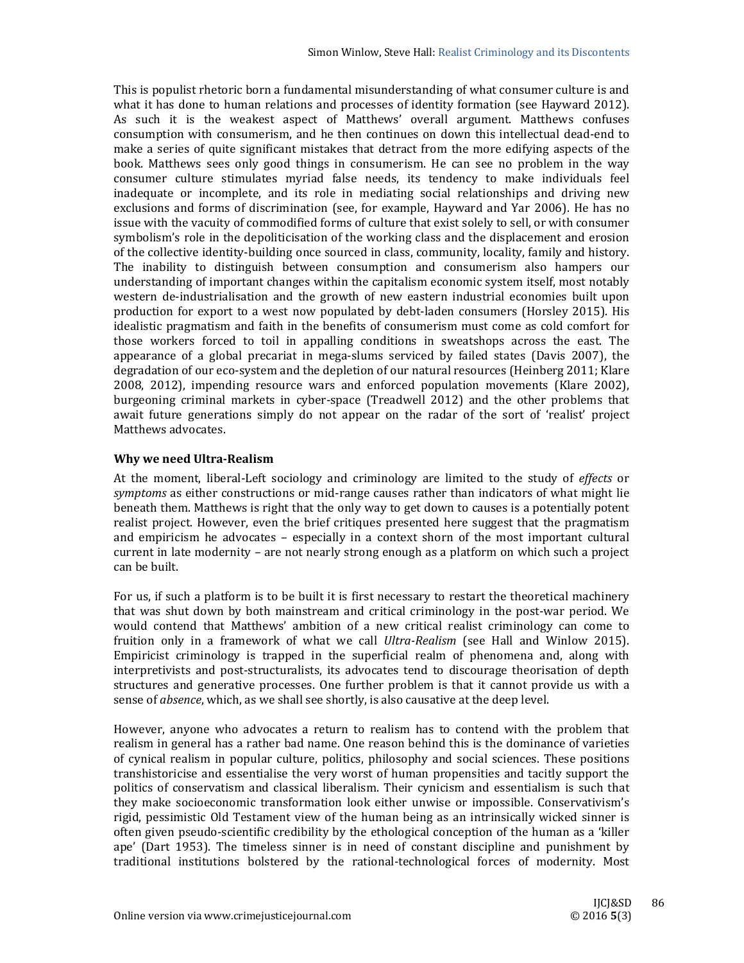This is populist rhetoric born a fundamental misunderstanding of what consumer culture is and what it has done to human relations and processes of identity formation (see Hayward 2012). As such it is the weakest aspect of Matthews' overall argument. Matthews confuses consumption with consumerism, and he then continues on down this intellectual dead-end to make a series of quite significant mistakes that detract from the more edifying aspects of the book. Matthews sees only good things in consumerism. He can see no problem in the way consumer culture stimulates myriad false needs, its tendency to make individuals feel inadequate or incomplete, and its role in mediating social relationships and driving new exclusions and forms of discrimination (see, for example, Hayward and Yar 2006). He has no issue with the vacuity of commodified forms of culture that exist solely to sell, or with consumer symbolism's role in the depoliticisation of the working class and the displacement and erosion of the collective identity-building once sourced in class, community, locality, family and history. The inability to distinguish between consumption and consumerism also hampers our understanding of important changes within the capitalism economic system itself, most notably western de-industrialisation and the growth of new eastern industrial economies built upon production for export to a west now populated by debt-laden consumers (Horsley 2015). His idealistic pragmatism and faith in the benefits of consumerism must come as cold comfort for those workers forced to toil in appalling conditions in sweatshops across the east. The appearance of a global precariat in mega-slums serviced by failed states (Davis 2007), the degradation of our eco-system and the depletion of our natural resources (Heinberg 2011; Klare 2008, 2012), impending resource wars and enforced population movements (Klare 2002), burgeoning criminal markets in cyber-space (Treadwell 2012) and the other problems that await future generations simply do not appear on the radar of the sort of 'realist' project Matthews advocates.

## **Why we need Ultra‐Realism**

At the moment, liberal-Left sociology and criminology are limited to the study of *effects* or *symptoms* as either constructions or mid-range causes rather than indicators of what might lie beneath them. Matthews is right that the only way to get down to causes is a potentially potent realist project. However, even the brief critiques presented here suggest that the pragmatism and empiricism he advocates – especially in a context shorn of the most important cultural current in late modernity – are not nearly strong enough as a platform on which such a project can be built.

For us, if such a platform is to be built it is first necessary to restart the theoretical machinery that was shut down by both mainstream and critical criminology in the post-war period. We would contend that Matthews' ambition of a new critical realist criminology can come to fruition only in a framework of what we call *Ultra-Realism* (see Hall and Winlow 2015). Empiricist criminology is trapped in the superficial realm of phenomena and, along with interpretivists and post-structuralists, its advocates tend to discourage theorisation of depth structures and generative processes. One further problem is that it cannot provide us with a sense of *absence*, which, as we shall see shortly, is also causative at the deep level.

However, anyone who advocates a return to realism has to contend with the problem that realism in general has a rather bad name. One reason behind this is the dominance of varieties of cynical realism in popular culture, politics, philosophy and social sciences. These positions transhistoricise and essentialise the very worst of human propensities and tacitly support the politics of conservatism and classical liberalism. Their cynicism and essentialism is such that they make socioeconomic transformation look either unwise or impossible. Conservativism's rigid, pessimistic Old Testament view of the human being as an intrinsically wicked sinner is often given pseudo-scientific credibility by the ethological conception of the human as a 'killer ape' (Dart 1953). The timeless sinner is in need of constant discipline and punishment by traditional institutions bolstered by the rational-technological forces of modernity. Most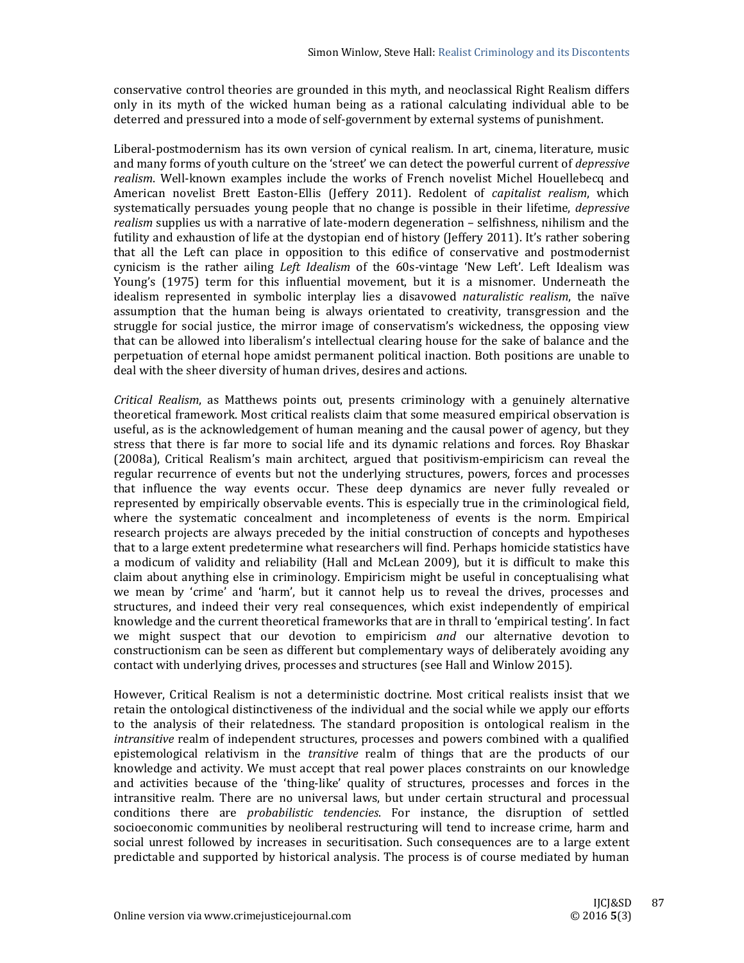conservative control theories are grounded in this myth, and neoclassical Right Realism differs only in its myth of the wicked human being as a rational calculating individual able to be deterred and pressured into a mode of self-government by external systems of punishment.

Liberal-postmodernism has its own version of cynical realism. In art, cinema, literature, music and many forms of youth culture on the 'street' we can detect the powerful current of *depressive* realism. Well-known examples include the works of French novelist Michel Houellebecq and American novelist Brett Easton-Ellis (Jeffery 2011). Redolent of *capitalist realism*, which systematically persuades young people that no change is possible in their lifetime, *depressive* realism supplies us with a narrative of late-modern degeneration – selfishness, nihilism and the futility and exhaustion of life at the dystopian end of history (Jeffery 2011). It's rather sobering that all the Left can place in opposition to this edifice of conservative and postmodernist cynicism is the rather ailing *Left Idealism* of the 60s-vintage 'New Left'. Left Idealism was Young's (1975) term for this influential movement, but it is a misnomer. Underneath the idealism represented in symbolic interplay lies a disavowed *naturalistic realism*, the naïve assumption that the human being is always orientated to creativity, transgression and the struggle for social justice, the mirror image of conservatism's wickedness, the opposing view that can be allowed into liberalism's intellectual clearing house for the sake of balance and the perpetuation of eternal hope amidst permanent political inaction. Both positions are unable to deal with the sheer diversity of human drives, desires and actions.

*Critical Realism*, as Matthews points out, presents criminology with a genuinely alternative theoretical framework. Most critical realists claim that some measured empirical observation is useful, as is the acknowledgement of human meaning and the causal power of agency, but they stress that there is far more to social life and its dynamic relations and forces. Roy Bhaskar (2008a), Critical Realism's main architect, argued that positivism-empiricism can reveal the regular recurrence of events but not the underlying structures, powers, forces and processes that influence the way events occur. These deep dynamics are never fully revealed or represented by empirically observable events. This is especially true in the criminological field, where the systematic concealment and incompleteness of events is the norm. Empirical research projects are always preceded by the initial construction of concepts and hypotheses that to a large extent predetermine what researchers will find. Perhaps homicide statistics have a modicum of validity and reliability (Hall and McLean 2009), but it is difficult to make this claim about anything else in criminology. Empiricism might be useful in conceptualising what we mean by 'crime' and 'harm', but it cannot help us to reveal the drives, processes and structures, and indeed their very real consequences, which exist independently of empirical knowledge and the current theoretical frameworks that are in thrall to 'empirical testing'. In fact we might suspect that our devotion to empiricism and our alternative devotion to constructionism can be seen as different but complementary ways of deliberately avoiding any contact with underlying drives, processes and structures (see Hall and Winlow 2015).

However, Critical Realism is not a deterministic doctrine. Most critical realists insist that we retain the ontological distinctiveness of the individual and the social while we apply our efforts to the analysis of their relatedness. The standard proposition is ontological realism in the *intransitive* realm of independent structures, processes and powers combined with a qualified epistemological relativism in the *transitive* realm of things that are the products of our knowledge and activity. We must accept that real power places constraints on our knowledge and activities because of the 'thing-like' quality of structures, processes and forces in the intransitive realm. There are no universal laws, but under certain structural and processual conditions there are *probabilistic tendencies*. For instance, the disruption of settled socioeconomic communities by neoliberal restructuring will tend to increase crime, harm and social unrest followed by increases in securitisation. Such consequences are to a large extent predictable and supported by historical analysis. The process is of course mediated by human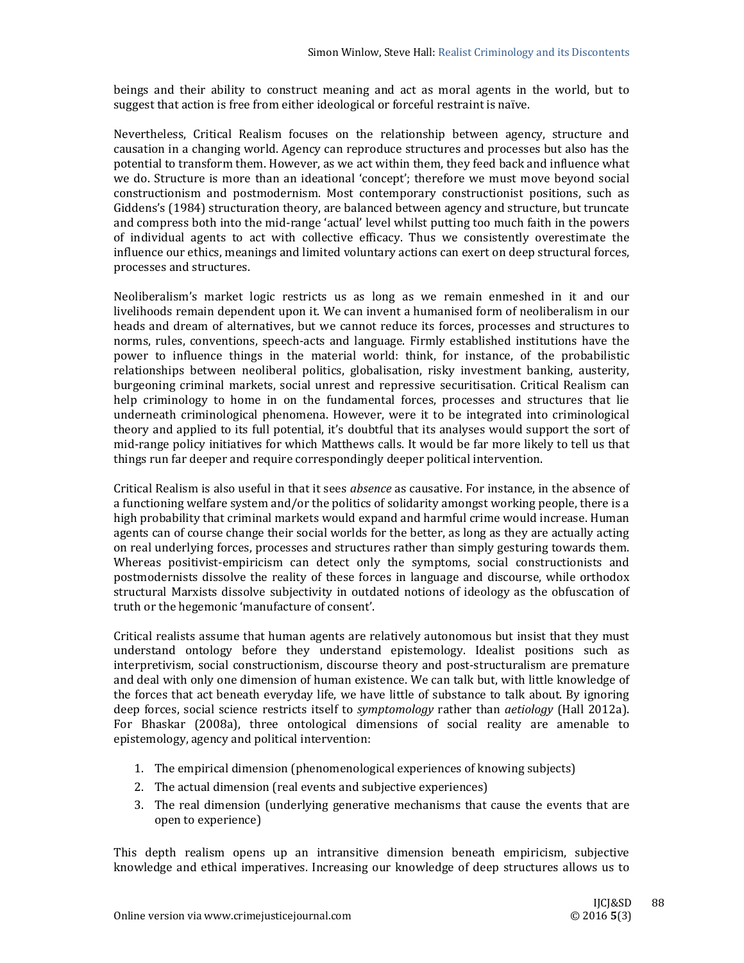beings and their ability to construct meaning and act as moral agents in the world, but to suggest that action is free from either ideological or forceful restraint is naïve.

Nevertheless, Critical Realism focuses on the relationship between agency, structure and causation in a changing world. Agency can reproduce structures and processes but also has the potential to transform them. However, as we act within them, they feed back and influence what we do. Structure is more than an ideational 'concept'; therefore we must move beyond social constructionism and postmodernism. Most contemporary constructionist positions, such as Giddens's (1984) structuration theory, are balanced between agency and structure, but truncate and compress both into the mid-range 'actual' level whilst putting too much faith in the powers of individual agents to act with collective efficacy. Thus we consistently overestimate the influence our ethics, meanings and limited voluntary actions can exert on deep structural forces, processes and structures.

Neoliberalism's market logic restricts us as long as we remain enmeshed in it and our livelihoods remain dependent upon it. We can invent a humanised form of neoliberalism in our heads and dream of alternatives, but we cannot reduce its forces, processes and structures to norms, rules, conventions, speech-acts and language. Firmly established institutions have the power to influence things in the material world: think, for instance, of the probabilistic relationships between neoliberal politics, globalisation, risky investment banking, austerity, burgeoning criminal markets, social unrest and repressive securitisation. Critical Realism can help criminology to home in on the fundamental forces, processes and structures that lie underneath criminological phenomena. However, were it to be integrated into criminological theory and applied to its full potential, it's doubtful that its analyses would support the sort of mid-range policy initiatives for which Matthews calls. It would be far more likely to tell us that things run far deeper and require correspondingly deeper political intervention.

Critical Realism is also useful in that it sees *absence* as causative. For instance, in the absence of a functioning welfare system and/or the politics of solidarity amongst working people, there is a high probability that criminal markets would expand and harmful crime would increase. Human agents can of course change their social worlds for the better, as long as they are actually acting on real underlying forces, processes and structures rather than simply gesturing towards them. Whereas positivist-empiricism can detect only the symptoms, social constructionists and postmodernists dissolve the reality of these forces in language and discourse, while orthodox structural Marxists dissolve subjectivity in outdated notions of ideology as the obfuscation of truth or the hegemonic 'manufacture of consent'.

Critical realists assume that human agents are relatively autonomous but insist that they must understand ontology before they understand epistemology. Idealist positions such as interpretivism, social constructionism, discourse theory and post-structuralism are premature and deal with only one dimension of human existence. We can talk but, with little knowledge of the forces that act beneath everyday life, we have little of substance to talk about. By ignoring deep forces, social science restricts itself to *symptomology* rather than *aetiology* (Hall 2012a). For Bhaskar (2008a), three ontological dimensions of social reality are amenable to epistemology, agency and political intervention:

- 1. The empirical dimension (phenomenological experiences of knowing subjects)
- 2. The actual dimension (real events and subjective experiences)
- 3. The real dimension (underlying generative mechanisms that cause the events that are open to experience)

This depth realism opens up an intransitive dimension beneath empiricism, subjective knowledge and ethical imperatives. Increasing our knowledge of deep structures allows us to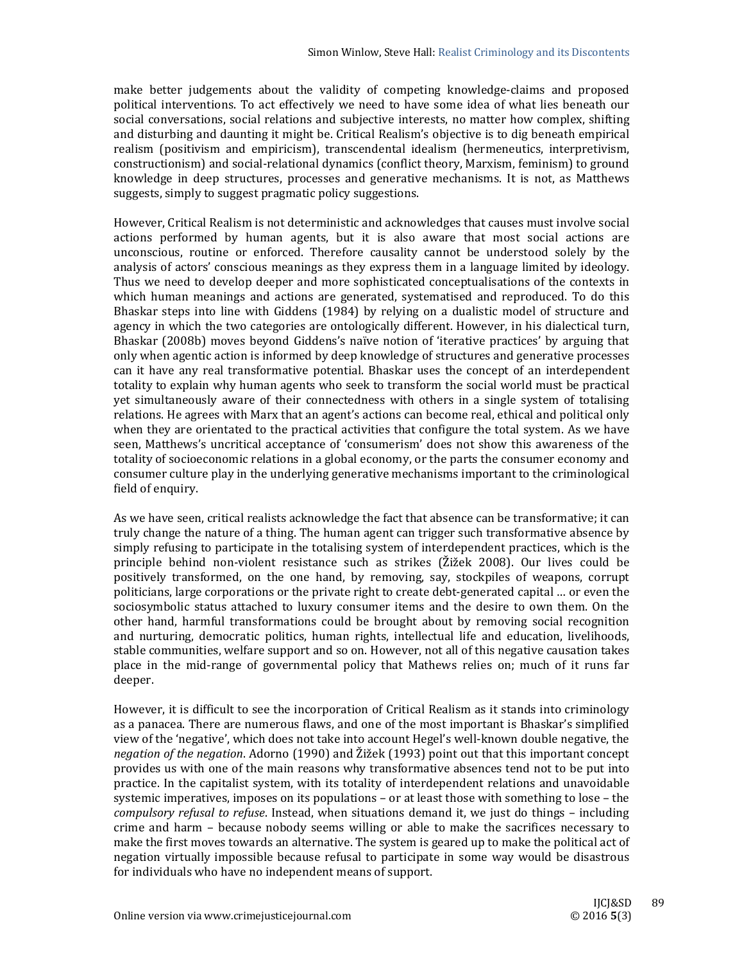make better judgements about the validity of competing knowledge-claims and proposed political interventions. To act effectively we need to have some idea of what lies beneath our social conversations, social relations and subjective interests, no matter how complex, shifting and disturbing and daunting it might be. Critical Realism's objective is to dig beneath empirical realism (positivism and empiricism), transcendental idealism (hermeneutics, interpretivism, constructionism) and social-relational dynamics (conflict theory, Marxism, feminism) to ground knowledge in deep structures, processes and generative mechanisms. It is not, as Matthews suggests, simply to suggest pragmatic policy suggestions.

However, Critical Realism is not deterministic and acknowledges that causes must involve social actions performed by human agents, but it is also aware that most social actions are unconscious, routine or enforced. Therefore causality cannot be understood solely by the analysis of actors' conscious meanings as they express them in a language limited by ideology. Thus we need to develop deeper and more sophisticated conceptualisations of the contexts in which human meanings and actions are generated, systematised and reproduced. To do this Bhaskar steps into line with Giddens (1984) by relying on a dualistic model of structure and agency in which the two categories are ontologically different. However, in his dialectical turn, Bhaskar (2008b) moves beyond Giddens's naïve notion of 'iterative practices' by arguing that only when agentic action is informed by deep knowledge of structures and generative processes can it have any real transformative potential. Bhaskar uses the concept of an interdependent totality to explain why human agents who seek to transform the social world must be practical yet simultaneously aware of their connectedness with others in a single system of totalising relations. He agrees with Marx that an agent's actions can become real, ethical and political only when they are orientated to the practical activities that configure the total system. As we have seen, Matthews's uncritical acceptance of 'consumerism' does not show this awareness of the totality of socioeconomic relations in a global economy, or the parts the consumer economy and consumer culture play in the underlying generative mechanisms important to the criminological field of enquiry.

As we have seen, critical realists acknowledge the fact that absence can be transformative; it can truly change the nature of a thing. The human agent can trigger such transformative absence by simply refusing to participate in the totalising system of interdependent practices, which is the principle behind non-violent resistance such as strikes (Žižek 2008). Our lives could be positively transformed, on the one hand, by removing, say, stockpiles of weapons, corrupt politicians, large corporations or the private right to create debt-generated capital ... or even the sociosymbolic status attached to luxury consumer items and the desire to own them. On the other hand, harmful transformations could be brought about by removing social recognition and nurturing, democratic politics, human rights, intellectual life and education, livelihoods, stable communities, welfare support and so on. However, not all of this negative causation takes place in the mid-range of governmental policy that Mathews relies on; much of it runs far deeper. 

However, it is difficult to see the incorporation of Critical Realism as it stands into criminology as a panacea. There are numerous flaws, and one of the most important is Bhaskar's simplified view of the 'negative', which does not take into account Hegel's well-known double negative, the *negation of the negation*. Adorno (1990) and  $\tilde{Z}$ ižek (1993) point out that this important concept provides us with one of the main reasons why transformative absences tend not to be put into practice. In the capitalist system, with its totality of interdependent relations and unavoidable systemic imperatives, imposes on its populations – or at least those with something to lose – the *compulsory refusal to refuse*. Instead, when situations demand it, we just do things – including crime and harm – because nobody seems willing or able to make the sacrifices necessary to make the first moves towards an alternative. The system is geared up to make the political act of negation virtually impossible because refusal to participate in some way would be disastrous for individuals who have no independent means of support.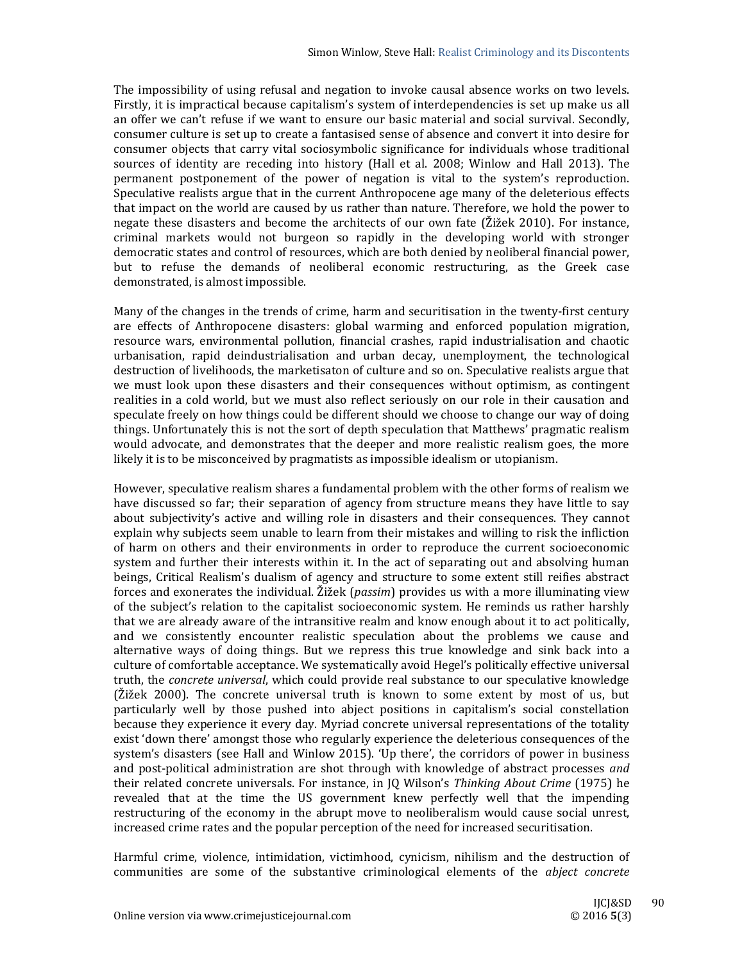The impossibility of using refusal and negation to invoke causal absence works on two levels. Firstly, it is impractical because capitalism's system of interdependencies is set up make us all an offer we can't refuse if we want to ensure our basic material and social survival. Secondly, consumer culture is set up to create a fantasised sense of absence and convert it into desire for consumer objects that carry vital sociosymbolic significance for individuals whose traditional sources of identity are receding into history (Hall et al. 2008; Winlow and Hall 2013). The permanent postponement of the power of negation is vital to the system's reproduction. Speculative realists argue that in the current Anthropocene age many of the deleterious effects that impact on the world are caused by us rather than nature. Therefore, we hold the power to negate these disasters and become the architects of our own fate  $(\tilde{\text{Z}}\tilde{\text{Z}}\text{e}k\ 2010)$ . For instance, criminal markets would not burgeon so rapidly in the developing world with stronger democratic states and control of resources, which are both denied by neoliberal financial power, but to refuse the demands of neoliberal economic restructuring, as the Greek case demonstrated, is almost impossible.

Many of the changes in the trends of crime, harm and securitisation in the twenty-first century are effects of Anthropocene disasters: global warming and enforced population migration, resource wars, environmental pollution, financial crashes, rapid industrialisation and chaotic urbanisation, rapid deindustrialisation and urban decay, unemployment, the technological destruction of livelihoods, the marketisaton of culture and so on. Speculative realists argue that we must look upon these disasters and their consequences without optimism, as contingent realities in a cold world, but we must also reflect seriously on our role in their causation and speculate freely on how things could be different should we choose to change our way of doing things. Unfortunately this is not the sort of depth speculation that Matthews' pragmatic realism would advocate, and demonstrates that the deeper and more realistic realism goes, the more likely it is to be misconceived by pragmatists as impossible idealism or utopianism.

However, speculative realism shares a fundamental problem with the other forms of realism we have discussed so far; their separation of agency from structure means they have little to say about subjectivity's active and willing role in disasters and their consequences. They cannot explain why subjects seem unable to learn from their mistakes and willing to risk the infliction of harm on others and their environments in order to reproduce the current socioeconomic system and further their interests within it. In the act of separating out and absolving human beings, Critical Realism's dualism of agency and structure to some extent still reifies abstract forces and exonerates the individual. Žižek (*passim*) provides us with a more illuminating view of the subject's relation to the capitalist socioeconomic system. He reminds us rather harshly that we are already aware of the intransitive realm and know enough about it to act politically, and we consistently encounter realistic speculation about the problems we cause and alternative ways of doing things. But we repress this true knowledge and sink back into a culture of comfortable acceptance. We systematically avoid Hegel's politically effective universal truth, the *concrete universal*, which could provide real substance to our speculative knowledge  $(Zi \times 2000)$ . The concrete universal truth is known to some extent by most of us, but particularly well by those pushed into abject positions in capitalism's social constellation because they experience it every day. Myriad concrete universal representations of the totality exist 'down there' amongst those who regularly experience the deleterious consequences of the system's disasters (see Hall and Winlow 2015). 'Up there', the corridors of power in business and post-political administration are shot through with knowledge of abstract processes and their related concrete universals. For instance, in JQ Wilson's *Thinking About Crime* (1975) he revealed that at the time the US government knew perfectly well that the impending restructuring of the economy in the abrupt move to neoliberalism would cause social unrest, increased crime rates and the popular perception of the need for increased securitisation.

Harmful crime, violence, intimidation, victimhood, cynicism, nihilism and the destruction of communities are some of the substantive criminological elements of the *abject concrete*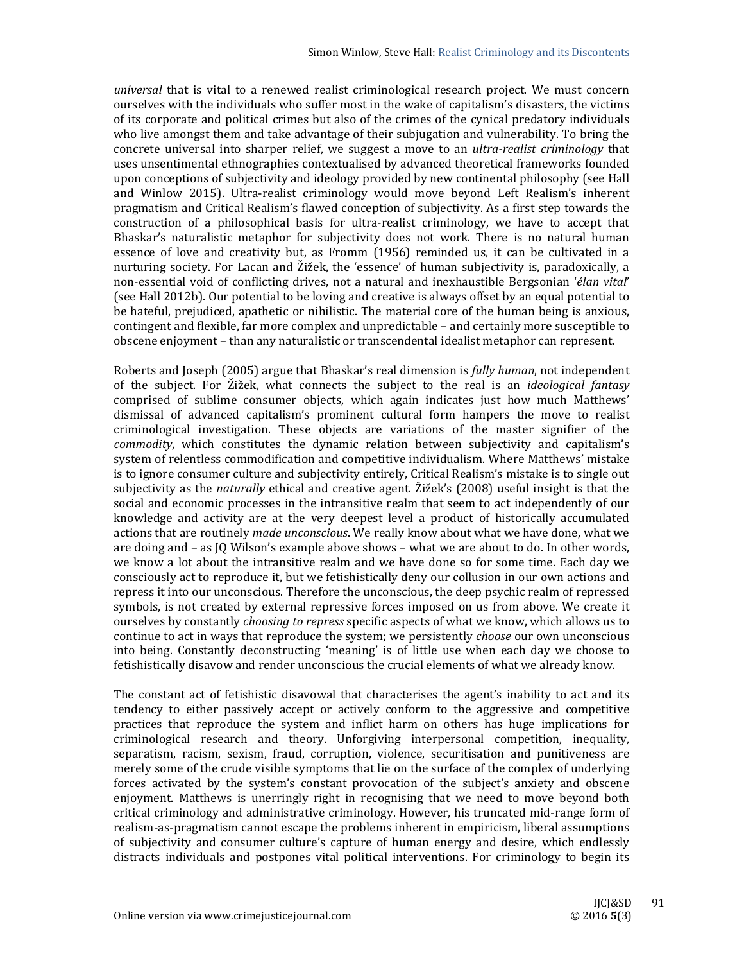*universal* that is vital to a renewed realist criminological research project. We must concern ourselves with the individuals who suffer most in the wake of capitalism's disasters, the victims of its corporate and political crimes but also of the crimes of the cynical predatory individuals who live amongst them and take advantage of their subjugation and vulnerability. To bring the concrete universal into sharper relief, we suggest a move to an *ultra-realist criminology* that uses unsentimental ethnographies contextualised by advanced theoretical frameworks founded upon conceptions of subjectivity and ideology provided by new continental philosophy (see Hall and Winlow 2015). Ultra-realist criminology would move beyond Left Realism's inherent pragmatism and Critical Realism's flawed conception of subjectivity. As a first step towards the construction of a philosophical basis for ultra-realist criminology, we have to accept that Bhaskar's naturalistic metaphor for subjectivity does not work. There is no natural human essence of love and creativity but, as Fromm (1956) reminded us, it can be cultivated in a nurturing society. For Lacan and Žižek, the 'essence' of human subjectivity is, paradoxically, a non-essential void of conflicting drives, not a natural and inexhaustible Bergsonian 'élan vital' (see Hall 2012b). Our potential to be loving and creative is always offset by an equal potential to be hateful, prejudiced, apathetic or nihilistic. The material core of the human being is anxious, contingent and flexible, far more complex and unpredictable – and certainly more susceptible to obscene enjoyment – than any naturalistic or transcendental idealist metaphor can represent.

Roberts and Joseph (2005) argue that Bhaskar's real dimension is *fully human*, not independent of the subject. For *Z*ižek, what connects the subject to the real is an *ideological fantasy* comprised of sublime consumer objects, which again indicates just how much Matthews' dismissal of advanced capitalism's prominent cultural form hampers the move to realist criminological investigation. These objects are variations of the master signifier of the *commodity*, which constitutes the dynamic relation between subjectivity and capitalism's system of relentless commodification and competitive individualism. Where Matthews' mistake is to ignore consumer culture and subjectivity entirely, Critical Realism's mistake is to single out subjectivity as the *naturally* ethical and creative agent. Žižek's (2008) useful insight is that the social and economic processes in the intransitive realm that seem to act independently of our knowledge and activity are at the very deepest level a product of historically accumulated actions that are routinely *made unconscious*. We really know about what we have done, what we are doing and  $-$  as  $[0 \text{ Wilson's example above shows } - \text{ what we are about to do. In other words, }$ we know a lot about the intransitive realm and we have done so for some time. Each day we consciously act to reproduce it, but we fetishistically deny our collusion in our own actions and repress it into our unconscious. Therefore the unconscious, the deep psychic realm of repressed symbols, is not created by external repressive forces imposed on us from above. We create it ourselves by constantly *choosing to repress* specific aspects of what we know, which allows us to continue to act in ways that reproduce the system; we persistently *choose* our own unconscious into being. Constantly deconstructing 'meaning' is of little use when each day we choose to fetishistically disavow and render unconscious the crucial elements of what we already know.

The constant act of fetishistic disavowal that characterises the agent's inability to act and its tendency to either passively accept or actively conform to the aggressive and competitive practices that reproduce the system and inflict harm on others has huge implications for criminological research and theory. Unforgiving interpersonal competition, inequality, separatism, racism, sexism, fraud, corruption, violence, securitisation and punitiveness are merely some of the crude visible symptoms that lie on the surface of the complex of underlying forces activated by the system's constant provocation of the subject's anxiety and obscene enjoyment. Matthews is unerringly right in recognising that we need to move beyond both critical criminology and administrative criminology. However, his truncated mid-range form of realism-as-pragmatism cannot escape the problems inherent in empiricism, liberal assumptions of subjectivity and consumer culture's capture of human energy and desire, which endlessly distracts individuals and postpones vital political interventions. For criminology to begin its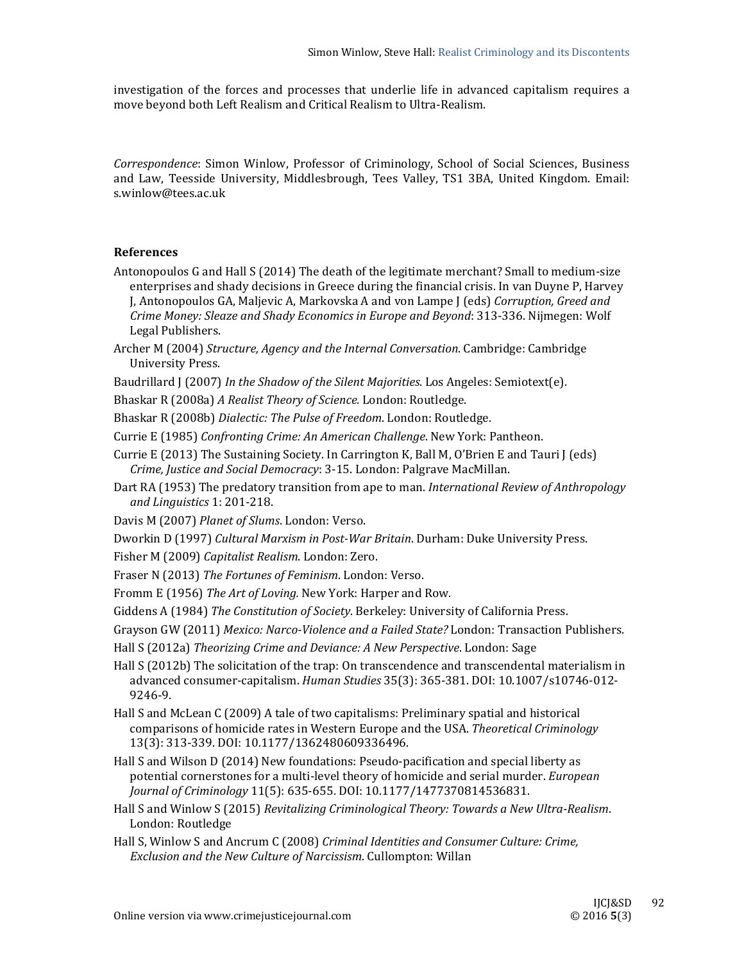investigation of the forces and processes that underlie life in advanced capitalism requires a move beyond both Left Realism and Critical Realism to Ultra-Realism.

*Correspondence*: Simon Winlow, Professor of Criminology, School of Social Sciences, Business and Law, Teesside University, Middlesbrough, Tees Valley, TS1 3BA, United Kingdom. Email: s.winlow@tees.ac.uk 

# **References**

- Antonopoulos G and Hall S (2014) The death of the legitimate merchant? Small to medium-size enterprises and shady decisions in Greece during the financial crisis. In van Duyne P, Harvey J, Antonopoulos GA, Maljevic A, Markovska A and von Lampe J (eds) *Corruption, Greed and Crime Money: Sleaze and Shady Economics in Europe and Beyond*: 313‐336. Nijmegen: Wolf Legal Publishers.
- Archer M (2004) *Structure, Agency and the Internal Conversation*. Cambridge: Cambridge University Press.
- Baudrillard J (2007) *In the Shadow of the Silent Majorities*. Los Angeles: Semiotext(e).
- Bhaskar R (2008a) *A Realist Theory of Science.* London: Routledge.
- Bhaskar R (2008b) *Dialectic: The Pulse of Freedom*. London: Routledge.
- Currie E (1985) *Confronting Crime: An American Challenge*. New York: Pantheon.
- Currie E (2013) The Sustaining Society. In Carrington K, Ball M, O'Brien E and Tauri J (eds) *Crime, Justice and Social Democracy*: 3‐15. London: Palgrave MacMillan.
- Dart RA (1953) The predatory transition from ape to man. *International Review of Anthropology and Linguistics* 1: 201‐218.
- Davis M (2007) Planet of Slums. London: Verso.
- Dworkin D (1997) *Cultural Marxism in Post‐War Britain*. Durham: Duke University Press.
- Fisher M (2009) *Capitalist Realism*. London: Zero.
- Fraser N (2013) The Fortunes of Feminism. London: Verso.
- Fromm E (1956) *The Art of Loving.* New York: Harper and Row.
- Giddens A (1984) *The Constitution of Society*. Berkeley: University of California Press.
- Grayson GW (2011) Mexico: Narco-Violence and a Failed State? London: Transaction Publishers.
- Hall S (2012a) *Theorizing Crime and Deviance: A New Perspective*. London: Sage
- Hall  $S(2012b)$  The solicitation of the trap: On transcendence and transcendental materialism in advanced consumer‐capitalism. *Human Studies* 35(3): 365‐381. DOI: 10.1007/s10746‐012‐ 9246‐9.
- Hall S and McLean C (2009) A tale of two capitalisms: Preliminary spatial and historical comparisons of homicide rates in Western Europe and the USA. *Theoretical Criminology* 13(3): 313-339. DOI: 10.1177/1362480609336496.
- Hall S and Wilson D (2014) New foundations: Pseudo-pacification and special liberty as potential cornerstones for a multi-level theory of homicide and serial murder. *European Journal of Criminology* 11(5): 635‐655. DOI: 10.1177/1477370814536831.
- Hall S and Winlow S (2015) *Revitalizing Criminological Theory: Towards a New Ultra‐Realism*. London: Routledge
- Hall S, Winlow S and Ancrum C (2008) *Criminal Identities and Consumer Culture: Crime, Exclusion and the New Culture of Narcissism*. Cullompton: Willan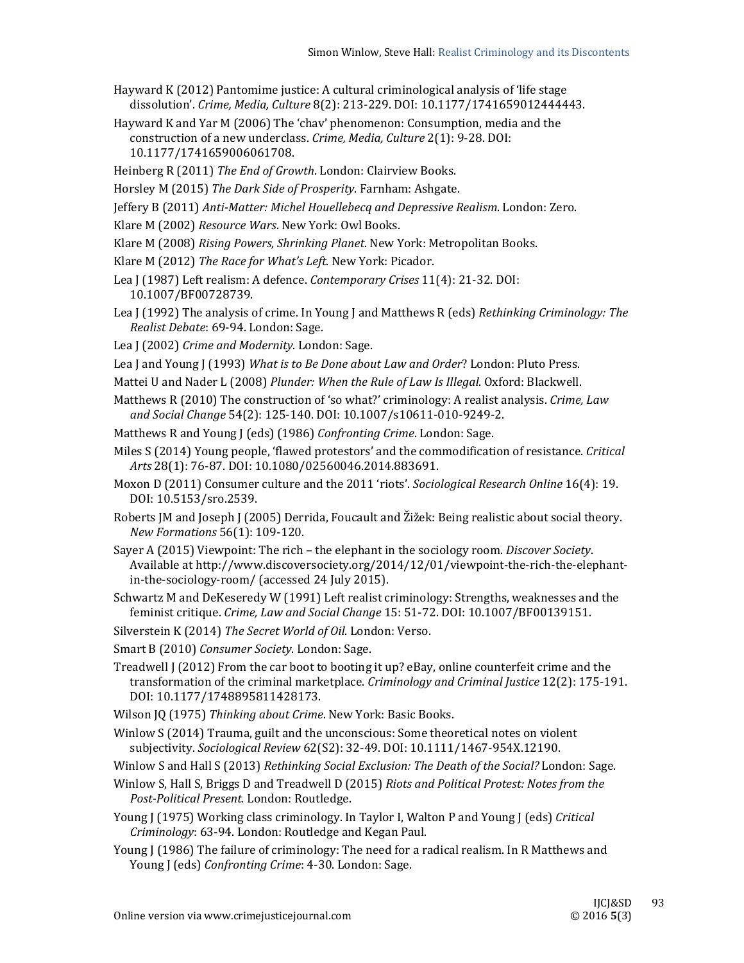- Hayward K  $(2012)$  Pantomime justice: A cultural criminological analysis of 'life stage dissolution'. *Crime, Media, Culture* 8(2): 213‐229. DOI: 10.1177/1741659012444443.
- Hayward K and Yar M (2006) The 'chav' phenomenon: Consumption, media and the construction of a new underclass. *Crime, Media, Culture* 2(1): 9-28. DOI: 10.1177/1741659006061708.
- Heinberg R (2011) The End of Growth. London: Clairview Books.
- Horsley M (2015) The Dark Side of Prosperity. Farnham: Ashgate.
- Jeffery B (2011) *Anti‐Matter: Michel Houellebecq and Depressive Realism*. London: Zero.
- Klare M (2002) *Resource Wars*. New York: Owl Books.
- Klare M (2008) *Rising Powers, Shrinking Planet*. New York: Metropolitan Books.
- Klare M (2012) The Race for What's Left. New York: Picador.
- Lea J (1987) Left realism: A defence. *Contemporary Crises* 11(4): 21-32. DOI: 10.1007/BF00728739.
- Lea J (1992) The analysis of crime. In Young J and Matthews R (eds) *Rethinking Criminology: The Realist Debate*: 69‐94. London: Sage.
- Lea J (2002) *Crime and Modernity*. London: Sage.
- Lea J and Young J (1993) What is to Be Done about Law and Order? London: Pluto Press.
- Mattei U and Nader L (2008) *Plunder: When the Rule of Law Is Illegal*. Oxford: Blackwell.
- Matthews R (2010) The construction of 'so what?' criminology: A realist analysis. *Crime, Law and Social Change* 54(2): 125‐140. DOI: 10.1007/s10611‐010‐9249‐2.
- Matthews R and Young J (eds) (1986) *Confronting Crime*. London: Sage.
- Miles S (2014) Young people, 'flawed protestors' and the commodification of resistance. *Critical* Arts 28(1): 76-87. DOI: 10.1080/02560046.2014.883691.
- Moxon D (2011) Consumer culture and the 2011 'riots'. *Sociological Research Online* 16(4): 19. DOI: 10.5153/sro.2539.
- Roberts [M and Joseph J (2005) Derrida, Foucault and  $\tilde{\mathbf{Z}}$ ižek: Being realistic about social theory. *New Formations* 56(1): 109‐120.
- Sayer A (2015) Viewpoint: The rich the elephant in the sociology room. *Discover Society*. Available at http://www.discoversociety.org/2014/12/01/viewpoint-the-rich-the-elephantin-the-sociology-room/ (accessed 24 July 2015).
- Schwartz M and DeKeseredy W (1991) Left realist criminology: Strengths, weaknesses and the feminist critique. *Crime, Law and Social Change* 15: 51‐72. DOI: 10.1007/BF00139151.
- Silverstein K (2014) *The Secret World of Oil*. London: Verso.
- Smart B (2010) *Consumer Society*. London: Sage.
- Treadwell  $\int$  (2012) From the car boot to booting it up? eBay, online counterfeit crime and the transformation of the criminal marketplace. *Criminology and Criminal Justice* 12(2): 175-191. DOI: 10.1177/1748895811428173.
- Wilson JQ (1975) Thinking about Crime. New York: Basic Books.
- Winlow S (2014) Trauma, guilt and the unconscious: Some theoretical notes on violent subjectivity. *Sociological Review* 62(S2): 32‐49. DOI: 10.1111/1467‐954X.12190.
- Winlow S and Hall S (2013) *Rethinking Social Exclusion: The Death of the Social?* London: Sage.
- Winlow S, Hall S, Briggs D and Treadwell D (2015) *Riots and Political Protest: Notes from the Post‐Political Present.* London: Routledge.
- Young J (1975) Working class criminology. In Taylor I, Walton P and Young J (eds) *Critical Criminology*: 63-94. London: Routledge and Kegan Paul.
- Young J (1986) The failure of criminology: The need for a radical realism. In R Matthews and Young J (eds) *Confronting Crime*: 4-30. London: Sage.